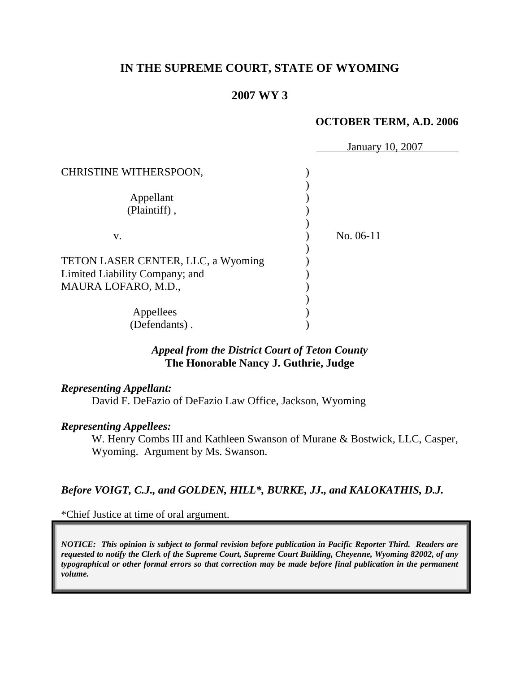# **IN THE SUPREME COURT, STATE OF WYOMING**

### **2007 WY 3**

#### **OCTOBER TERM, A.D. 2006**

|                                    | January 10, 2007 |
|------------------------------------|------------------|
| CHRISTINE WITHERSPOON,             |                  |
|                                    |                  |
| Appellant                          |                  |
| (Plaintiff),                       |                  |
|                                    |                  |
| V.                                 | No. 06-11        |
|                                    |                  |
| TETON LASER CENTER, LLC, a Wyoming |                  |
| Limited Liability Company; and     |                  |
| MAURA LOFARO, M.D.,                |                  |
|                                    |                  |
| Appellees                          |                  |
| (Defendants).                      |                  |

### *Appeal from the District Court of Teton County* **The Honorable Nancy J. Guthrie, Judge**

#### *Representing Appellant:*

David F. DeFazio of DeFazio Law Office, Jackson, Wyoming

#### *Representing Appellees:*

W. Henry Combs III and Kathleen Swanson of Murane & Bostwick, LLC, Casper, Wyoming. Argument by Ms. Swanson.

## *Before VOIGT, C.J., and GOLDEN, HILL\*, BURKE, JJ., and KALOKATHIS, D.J.*

\*Chief Justice at time of oral argument.

*NOTICE: This opinion is subject to formal revision before publication in Pacific Reporter Third. Readers are requested to notify the Clerk of the Supreme Court, Supreme Court Building, Cheyenne, Wyoming 82002, of any typographical or other formal errors so that correction may be made before final publication in the permanent volume.*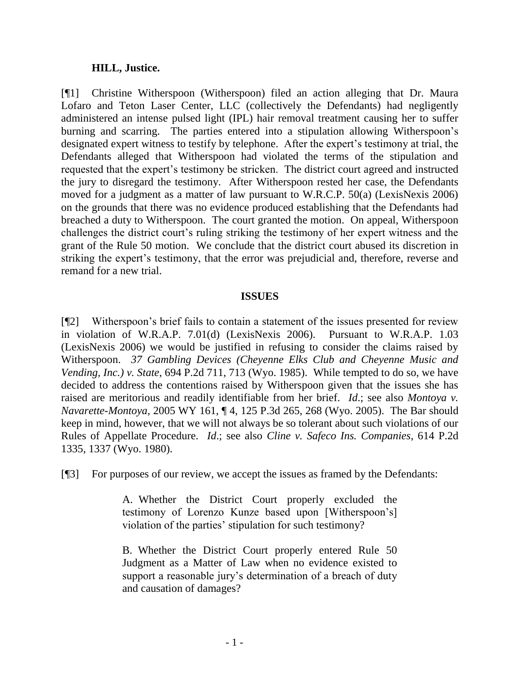#### **HILL, Justice.**

[¶1] Christine Witherspoon (Witherspoon) filed an action alleging that Dr. Maura Lofaro and Teton Laser Center, LLC (collectively the Defendants) had negligently administered an intense pulsed light (IPL) hair removal treatment causing her to suffer burning and scarring. The parties entered into a stipulation allowing Witherspoon"s designated expert witness to testify by telephone. After the expert's testimony at trial, the Defendants alleged that Witherspoon had violated the terms of the stipulation and requested that the expert"s testimony be stricken. The district court agreed and instructed the jury to disregard the testimony. After Witherspoon rested her case, the Defendants moved for a judgment as a matter of law pursuant to W.R.C.P. 50(a) (LexisNexis 2006) on the grounds that there was no evidence produced establishing that the Defendants had breached a duty to Witherspoon. The court granted the motion. On appeal, Witherspoon challenges the district court's ruling striking the testimony of her expert witness and the grant of the Rule 50 motion. We conclude that the district court abused its discretion in striking the expert's testimony, that the error was prejudicial and, therefore, reverse and remand for a new trial.

#### **ISSUES**

[¶2] Witherspoon"s brief fails to contain a statement of the issues presented for review in violation of W.R.A.P. 7.01(d) (LexisNexis 2006). Pursuant to W.R.A.P. 1.03 (LexisNexis 2006) we would be justified in refusing to consider the claims raised by Witherspoon. *37 Gambling Devices (Cheyenne Elks Club and Cheyenne Music and Vending, Inc.) v. State*, 694 P.2d 711, 713 (Wyo. 1985). While tempted to do so, we have decided to address the contentions raised by Witherspoon given that the issues she has raised are meritorious and readily identifiable from her brief. *Id*.; see also *Montoya v. Navarette-Montoya*, 2005 WY 161, ¶ 4, 125 P.3d 265, 268 (Wyo. 2005). The Bar should keep in mind, however, that we will not always be so tolerant about such violations of our Rules of Appellate Procedure. *Id*.; see also *Cline v. Safeco Ins. Companies*, 614 P.2d 1335, 1337 (Wyo. 1980).

[¶3] For purposes of our review, we accept the issues as framed by the Defendants:

A. Whether the District Court properly excluded the testimony of Lorenzo Kunze based upon [Witherspoon"s] violation of the parties' stipulation for such testimony?

B. Whether the District Court properly entered Rule 50 Judgment as a Matter of Law when no evidence existed to support a reasonable jury's determination of a breach of duty and causation of damages?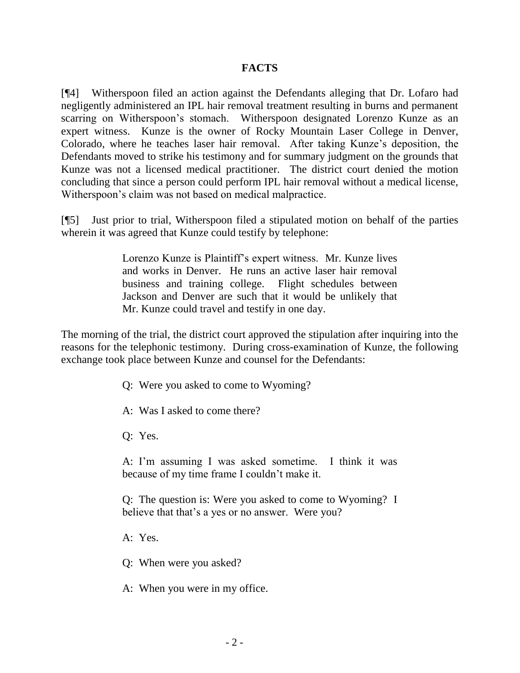### **FACTS**

[¶4] Witherspoon filed an action against the Defendants alleging that Dr. Lofaro had negligently administered an IPL hair removal treatment resulting in burns and permanent scarring on Witherspoon"s stomach. Witherspoon designated Lorenzo Kunze as an expert witness. Kunze is the owner of Rocky Mountain Laser College in Denver, Colorado, where he teaches laser hair removal. After taking Kunze"s deposition, the Defendants moved to strike his testimony and for summary judgment on the grounds that Kunze was not a licensed medical practitioner. The district court denied the motion concluding that since a person could perform IPL hair removal without a medical license, Witherspoon"s claim was not based on medical malpractice.

[¶5] Just prior to trial, Witherspoon filed a stipulated motion on behalf of the parties wherein it was agreed that Kunze could testify by telephone:

> Lorenzo Kunze is Plaintiff"s expert witness. Mr. Kunze lives and works in Denver. He runs an active laser hair removal business and training college. Flight schedules between Jackson and Denver are such that it would be unlikely that Mr. Kunze could travel and testify in one day.

The morning of the trial, the district court approved the stipulation after inquiring into the reasons for the telephonic testimony. During cross-examination of Kunze, the following exchange took place between Kunze and counsel for the Defendants:

- Q: Were you asked to come to Wyoming?
- A: Was I asked to come there?
- Q: Yes.

A: I'm assuming I was asked sometime. I think it was because of my time frame I couldn"t make it.

Q: The question is: Were you asked to come to Wyoming? I believe that that's a yes or no answer. Were you?

A: Yes.

Q: When were you asked?

A: When you were in my office.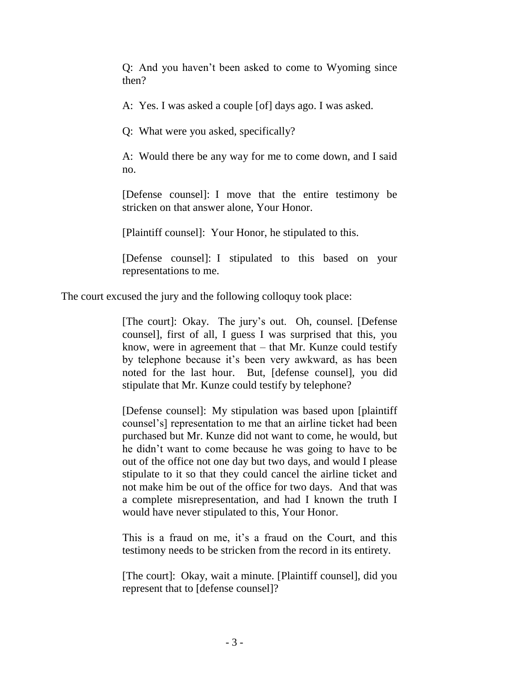Q: And you haven"t been asked to come to Wyoming since then?

A: Yes. I was asked a couple [of] days ago. I was asked.

Q: What were you asked, specifically?

A: Would there be any way for me to come down, and I said no.

[Defense counsel]: I move that the entire testimony be stricken on that answer alone, Your Honor.

[Plaintiff counsel]: Your Honor, he stipulated to this.

[Defense counsel]: I stipulated to this based on your representations to me.

The court excused the jury and the following colloquy took place:

[The court]: Okay. The jury"s out. Oh, counsel. [Defense counsel], first of all, I guess I was surprised that this, you know, were in agreement that  $-$  that Mr. Kunze could testify by telephone because it's been very awkward, as has been noted for the last hour. But, [defense counsel], you did stipulate that Mr. Kunze could testify by telephone?

[Defense counsel]: My stipulation was based upon [plaintiff counsel"s] representation to me that an airline ticket had been purchased but Mr. Kunze did not want to come, he would, but he didn"t want to come because he was going to have to be out of the office not one day but two days, and would I please stipulate to it so that they could cancel the airline ticket and not make him be out of the office for two days. And that was a complete misrepresentation, and had I known the truth I would have never stipulated to this, Your Honor.

This is a fraud on me, it's a fraud on the Court, and this testimony needs to be stricken from the record in its entirety.

[The court]: Okay, wait a minute. [Plaintiff counsel], did you represent that to [defense counsel]?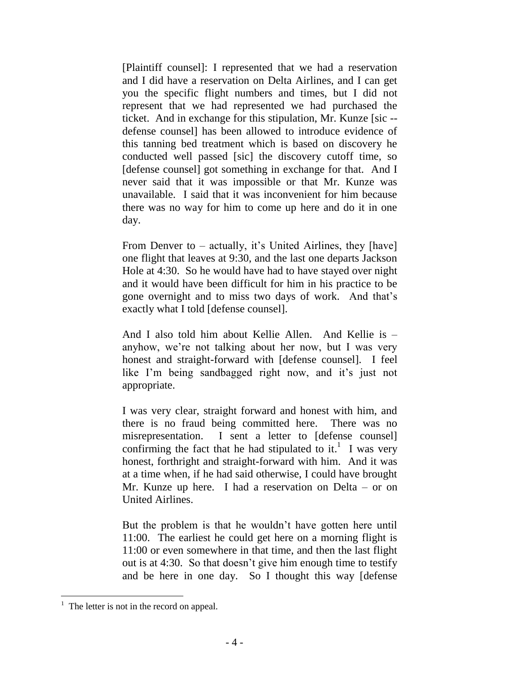[Plaintiff counsel]: I represented that we had a reservation and I did have a reservation on Delta Airlines, and I can get you the specific flight numbers and times, but I did not represent that we had represented we had purchased the ticket. And in exchange for this stipulation, Mr. Kunze [sic - defense counsel] has been allowed to introduce evidence of this tanning bed treatment which is based on discovery he conducted well passed [sic] the discovery cutoff time, so [defense counsel] got something in exchange for that. And I never said that it was impossible or that Mr. Kunze was unavailable. I said that it was inconvenient for him because there was no way for him to come up here and do it in one day.

From Denver to  $-$  actually, it's United Airlines, they [have] one flight that leaves at 9:30, and the last one departs Jackson Hole at 4:30. So he would have had to have stayed over night and it would have been difficult for him in his practice to be gone overnight and to miss two days of work. And that"s exactly what I told [defense counsel].

And I also told him about Kellie Allen. And Kellie is – anyhow, we"re not talking about her now, but I was very honest and straight-forward with [defense counsel]. I feel like I'm being sandbagged right now, and it's just not appropriate.

I was very clear, straight forward and honest with him, and there is no fraud being committed here. There was no misrepresentation. I sent a letter to [defense counsel] confirming the fact that he had stipulated to it.<sup>1</sup> I was very honest, forthright and straight-forward with him. And it was at a time when, if he had said otherwise, I could have brought Mr. Kunze up here. I had a reservation on Delta – or on United Airlines.

But the problem is that he wouldn"t have gotten here until 11:00. The earliest he could get here on a morning flight is 11:00 or even somewhere in that time, and then the last flight out is at 4:30. So that doesn"t give him enough time to testify and be here in one day. So I thought this way [defense

 $<sup>1</sup>$  The letter is not in the record on appeal.</sup>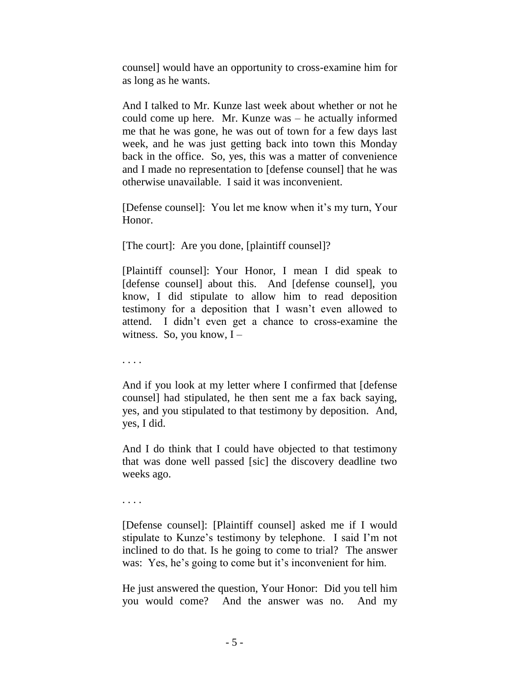counsel] would have an opportunity to cross-examine him for as long as he wants.

And I talked to Mr. Kunze last week about whether or not he could come up here. Mr. Kunze was – he actually informed me that he was gone, he was out of town for a few days last week, and he was just getting back into town this Monday back in the office. So, yes, this was a matter of convenience and I made no representation to [defense counsel] that he was otherwise unavailable. I said it was inconvenient.

[Defense counsel]: You let me know when it's my turn, Your Honor.

[The court]: Are you done, [plaintiff counsel]?

[Plaintiff counsel]: Your Honor, I mean I did speak to [defense counsel] about this. And [defense counsel], you know, I did stipulate to allow him to read deposition testimony for a deposition that I wasn"t even allowed to attend. I didn"t even get a chance to cross-examine the witness. So, you know,  $I -$ 

. . . .

And if you look at my letter where I confirmed that [defense counsel] had stipulated, he then sent me a fax back saying, yes, and you stipulated to that testimony by deposition. And, yes, I did.

And I do think that I could have objected to that testimony that was done well passed [sic] the discovery deadline two weeks ago.

. . . .

[Defense counsel]: [Plaintiff counsel] asked me if I would stipulate to Kunze"s testimony by telephone. I said I"m not inclined to do that. Is he going to come to trial? The answer was: Yes, he's going to come but it's inconvenient for him.

He just answered the question, Your Honor: Did you tell him you would come? And the answer was no. And my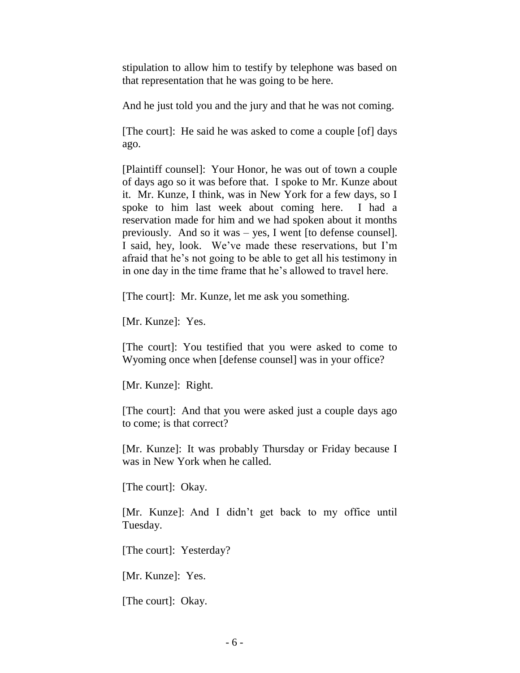stipulation to allow him to testify by telephone was based on that representation that he was going to be here.

And he just told you and the jury and that he was not coming.

[The court]: He said he was asked to come a couple [of] days ago.

[Plaintiff counsel]: Your Honor, he was out of town a couple of days ago so it was before that. I spoke to Mr. Kunze about it. Mr. Kunze, I think, was in New York for a few days, so I spoke to him last week about coming here. I had a reservation made for him and we had spoken about it months previously. And so it was – yes, I went [to defense counsel]. I said, hey, look. We"ve made these reservations, but I"m afraid that he"s not going to be able to get all his testimony in in one day in the time frame that he"s allowed to travel here.

[The court]: Mr. Kunze, let me ask you something.

[Mr. Kunze]: Yes.

[The court]: You testified that you were asked to come to Wyoming once when [defense counsel] was in your office?

[Mr. Kunze]: Right.

[The court]: And that you were asked just a couple days ago to come; is that correct?

[Mr. Kunze]: It was probably Thursday or Friday because I was in New York when he called.

[The court]: Okay.

[Mr. Kunze]: And I didn"t get back to my office until Tuesday.

[The court]: Yesterday?

[Mr. Kunze]: Yes.

[The court]: Okay.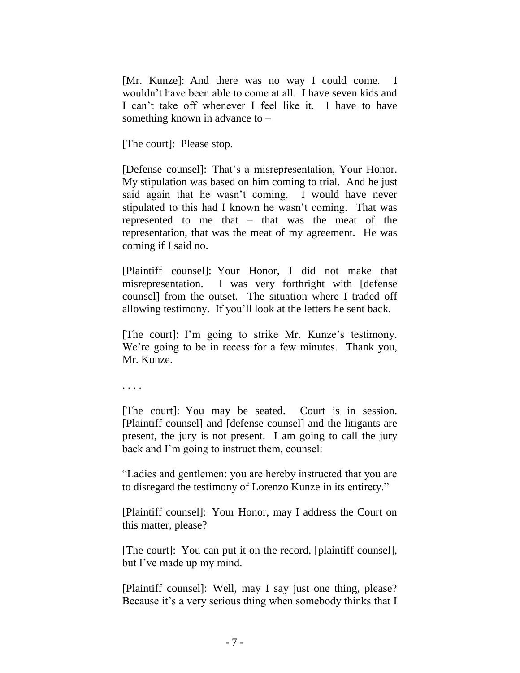[Mr. Kunze]: And there was no way I could come. I wouldn"t have been able to come at all. I have seven kids and I can"t take off whenever I feel like it. I have to have something known in advance to  $-$ 

[The court]: Please stop.

[Defense counsel]: That's a misrepresentation, Your Honor. My stipulation was based on him coming to trial. And he just said again that he wasn"t coming. I would have never stipulated to this had I known he wasn"t coming. That was represented to me that – that was the meat of the representation, that was the meat of my agreement. He was coming if I said no.

[Plaintiff counsel]: Your Honor, I did not make that misrepresentation. I was very forthright with [defense counsel] from the outset. The situation where I traded off allowing testimony. If you"ll look at the letters he sent back.

[The court]: I'm going to strike Mr. Kunze's testimony. We're going to be in recess for a few minutes. Thank you, Mr. Kunze.

. . . .

[The court]: You may be seated. Court is in session. [Plaintiff counsel] and [defense counsel] and the litigants are present, the jury is not present. I am going to call the jury back and I"m going to instruct them, counsel:

"Ladies and gentlemen: you are hereby instructed that you are to disregard the testimony of Lorenzo Kunze in its entirety."

[Plaintiff counsel]: Your Honor, may I address the Court on this matter, please?

[The court]: You can put it on the record, [plaintiff counsel], but I've made up my mind.

[Plaintiff counsel]: Well, may I say just one thing, please? Because it's a very serious thing when somebody thinks that I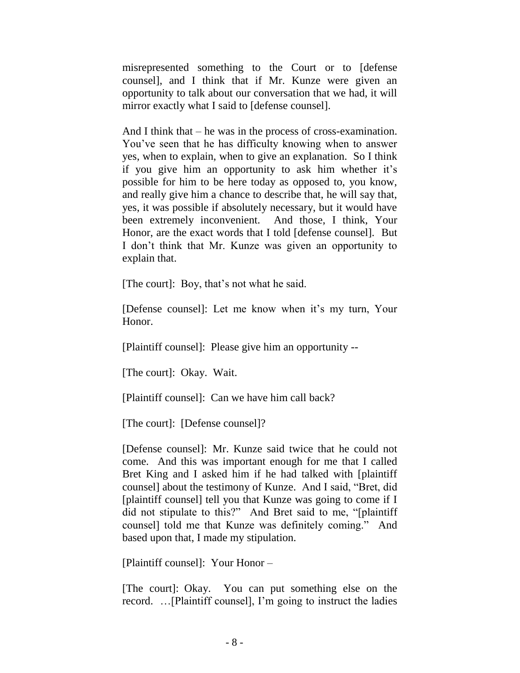misrepresented something to the Court or to [defense counsel], and I think that if Mr. Kunze were given an opportunity to talk about our conversation that we had, it will mirror exactly what I said to [defense counsel].

And I think that – he was in the process of cross-examination. You"ve seen that he has difficulty knowing when to answer yes, when to explain, when to give an explanation. So I think if you give him an opportunity to ask him whether it"s possible for him to be here today as opposed to, you know, and really give him a chance to describe that, he will say that, yes, it was possible if absolutely necessary, but it would have been extremely inconvenient. And those, I think, Your Honor, are the exact words that I told [defense counsel]. But I don"t think that Mr. Kunze was given an opportunity to explain that.

[The court]: Boy, that"s not what he said.

[Defense counsel]: Let me know when it's my turn, Your Honor.

[Plaintiff counsel]: Please give him an opportunity --

[The court]: Okay. Wait.

[Plaintiff counsel]: Can we have him call back?

[The court]: [Defense counsel]?

[Defense counsel]: Mr. Kunze said twice that he could not come. And this was important enough for me that I called Bret King and I asked him if he had talked with [plaintiff counsel] about the testimony of Kunze. And I said, "Bret, did [plaintiff counsel] tell you that Kunze was going to come if I did not stipulate to this?" And Bret said to me, "[plaintiff counsel] told me that Kunze was definitely coming." And based upon that, I made my stipulation.

[Plaintiff counsel]: Your Honor –

[The court]: Okay. You can put something else on the record. …[Plaintiff counsel], I"m going to instruct the ladies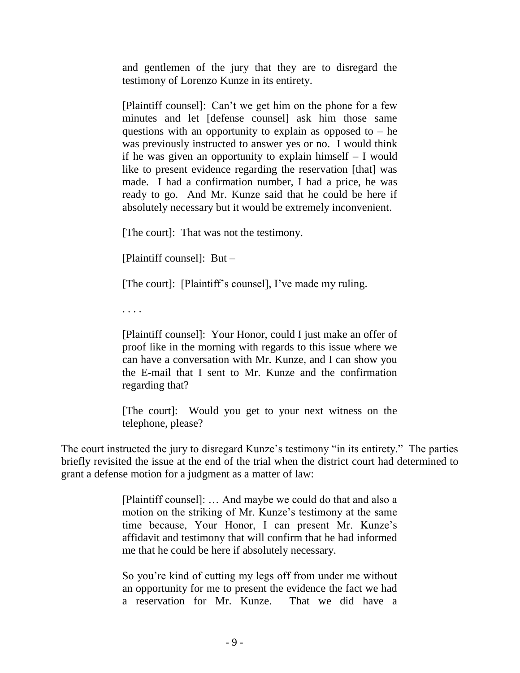and gentlemen of the jury that they are to disregard the testimony of Lorenzo Kunze in its entirety.

[Plaintiff counsel]: Can"t we get him on the phone for a few minutes and let [defense counsel] ask him those same questions with an opportunity to explain as opposed to  $-$  he was previously instructed to answer yes or no. I would think if he was given an opportunity to explain himself – I would like to present evidence regarding the reservation [that] was made. I had a confirmation number, I had a price, he was ready to go. And Mr. Kunze said that he could be here if absolutely necessary but it would be extremely inconvenient.

[The court]: That was not the testimony.

[Plaintiff counsel]: But –

[The court]: [Plaintiff's counsel], I've made my ruling.

. . . .

[Plaintiff counsel]: Your Honor, could I just make an offer of proof like in the morning with regards to this issue where we can have a conversation with Mr. Kunze, and I can show you the E-mail that I sent to Mr. Kunze and the confirmation regarding that?

[The court]: Would you get to your next witness on the telephone, please?

The court instructed the jury to disregard Kunze's testimony "in its entirety." The parties briefly revisited the issue at the end of the trial when the district court had determined to grant a defense motion for a judgment as a matter of law:

> [Plaintiff counsel]: … And maybe we could do that and also a motion on the striking of Mr. Kunze's testimony at the same time because, Your Honor, I can present Mr. Kunze"s affidavit and testimony that will confirm that he had informed me that he could be here if absolutely necessary.

> So you"re kind of cutting my legs off from under me without an opportunity for me to present the evidence the fact we had a reservation for Mr. Kunze. That we did have a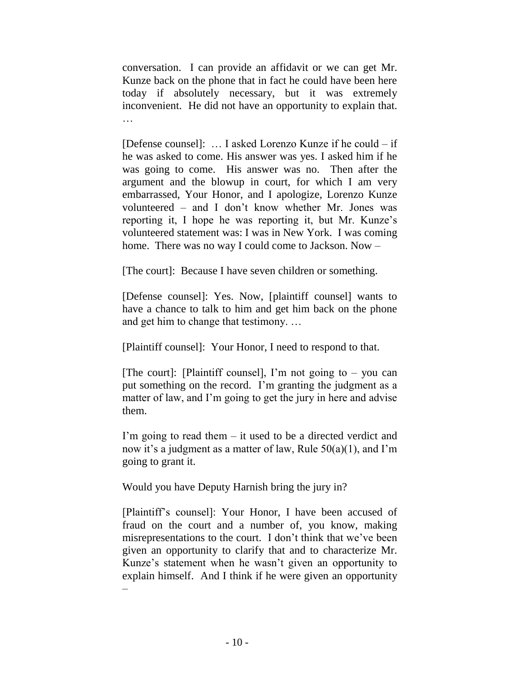conversation. I can provide an affidavit or we can get Mr. Kunze back on the phone that in fact he could have been here today if absolutely necessary, but it was extremely inconvenient. He did not have an opportunity to explain that.

[Defense counsel]: … I asked Lorenzo Kunze if he could – if he was asked to come. His answer was yes. I asked him if he was going to come. His answer was no. Then after the argument and the blowup in court, for which I am very embarrassed, Your Honor, and I apologize, Lorenzo Kunze volunteered – and I don"t know whether Mr. Jones was reporting it, I hope he was reporting it, but Mr. Kunze"s volunteered statement was: I was in New York. I was coming home. There was no way I could come to Jackson. Now –

[The court]: Because I have seven children or something.

[Defense counsel]: Yes. Now, [plaintiff counsel] wants to have a chance to talk to him and get him back on the phone and get him to change that testimony. …

[Plaintiff counsel]: Your Honor, I need to respond to that.

[The court]: [Plaintiff counsel], I'm not going to  $-$  you can put something on the record. I"m granting the judgment as a matter of law, and I'm going to get the jury in here and advise them.

I'm going to read them  $-$  it used to be a directed verdict and now it's a judgment as a matter of law, Rule  $50(a)(1)$ , and I'm going to grant it.

Would you have Deputy Harnish bring the jury in?

[Plaintiff"s counsel]: Your Honor, I have been accused of fraud on the court and a number of, you know, making misrepresentations to the court. I don't think that we've been given an opportunity to clarify that and to characterize Mr. Kunze's statement when he wasn't given an opportunity to explain himself. And I think if he were given an opportunity –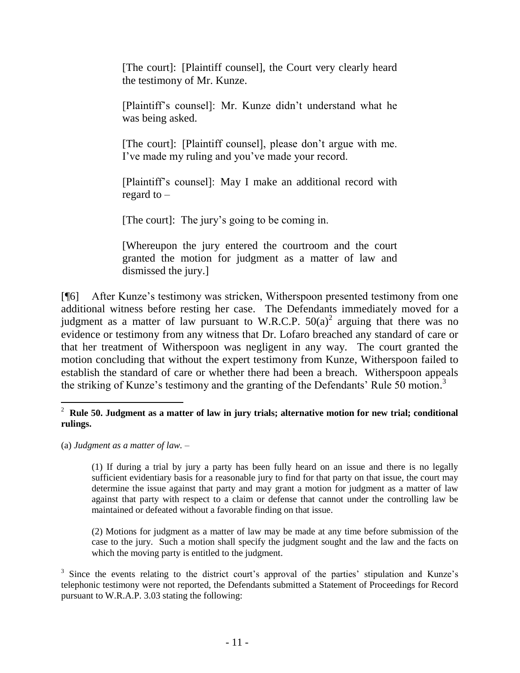[The court]: [Plaintiff counsel], the Court very clearly heard the testimony of Mr. Kunze.

[Plaintiff"s counsel]: Mr. Kunze didn"t understand what he was being asked.

[The court]: [Plaintiff counsel], please don't argue with me. I"ve made my ruling and you"ve made your record.

[Plaintiff"s counsel]: May I make an additional record with regard to –

[The court]: The jury"s going to be coming in.

[Whereupon the jury entered the courtroom and the court granted the motion for judgment as a matter of law and dismissed the jury.]

[¶6] After Kunze"s testimony was stricken, Witherspoon presented testimony from one additional witness before resting her case. The Defendants immediately moved for a judgment as a matter of law pursuant to W.R.C.P.  $50(a)^2$  arguing that there was no evidence or testimony from any witness that Dr. Lofaro breached any standard of care or that her treatment of Witherspoon was negligent in any way. The court granted the motion concluding that without the expert testimony from Kunze, Witherspoon failed to establish the standard of care or whether there had been a breach. Witherspoon appeals the striking of Kunze's testimony and the granting of the Defendants' Rule  $\overline{50}$  motion.<sup>3</sup>

(a) *Judgment as a matter of law.* –

(1) If during a trial by jury a party has been fully heard on an issue and there is no legally sufficient evidentiary basis for a reasonable jury to find for that party on that issue, the court may determine the issue against that party and may grant a motion for judgment as a matter of law against that party with respect to a claim or defense that cannot under the controlling law be maintained or defeated without a favorable finding on that issue.

(2) Motions for judgment as a matter of law may be made at any time before submission of the case to the jury. Such a motion shall specify the judgment sought and the law and the facts on which the moving party is entitled to the judgment.

 2 **Rule 50. Judgment as a matter of law in jury trials; alternative motion for new trial; conditional rulings.**

<sup>&</sup>lt;sup>3</sup> Since the events relating to the district court's approval of the parties' stipulation and Kunze's telephonic testimony were not reported, the Defendants submitted a Statement of Proceedings for Record pursuant to W.R.A.P. 3.03 stating the following: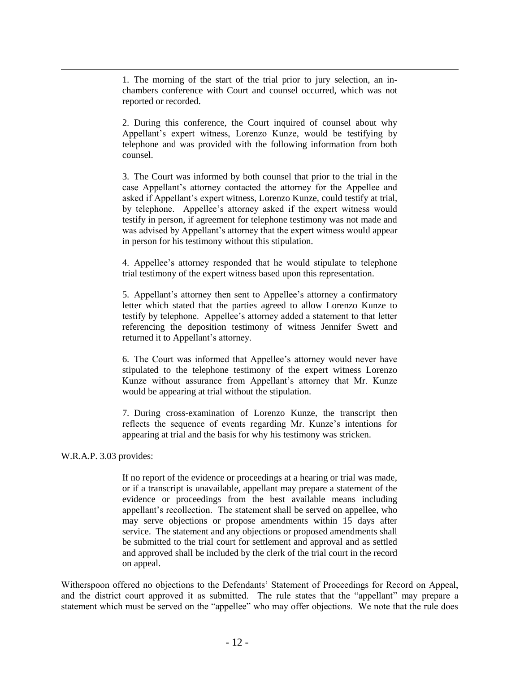1. The morning of the start of the trial prior to jury selection, an inchambers conference with Court and counsel occurred, which was not reported or recorded.

2. During this conference, the Court inquired of counsel about why Appellant's expert witness, Lorenzo Kunze, would be testifying by telephone and was provided with the following information from both counsel.

3. The Court was informed by both counsel that prior to the trial in the case Appellant"s attorney contacted the attorney for the Appellee and asked if Appellant's expert witness, Lorenzo Kunze, could testify at trial, by telephone. Appellee"s attorney asked if the expert witness would testify in person, if agreement for telephone testimony was not made and was advised by Appellant"s attorney that the expert witness would appear in person for his testimony without this stipulation.

4. Appellee"s attorney responded that he would stipulate to telephone trial testimony of the expert witness based upon this representation.

5. Appellant"s attorney then sent to Appellee"s attorney a confirmatory letter which stated that the parties agreed to allow Lorenzo Kunze to testify by telephone. Appellee"s attorney added a statement to that letter referencing the deposition testimony of witness Jennifer Swett and returned it to Appellant's attorney.

6. The Court was informed that Appellee"s attorney would never have stipulated to the telephone testimony of the expert witness Lorenzo Kunze without assurance from Appellant's attorney that Mr. Kunze would be appearing at trial without the stipulation.

7. During cross-examination of Lorenzo Kunze, the transcript then reflects the sequence of events regarding Mr. Kunze"s intentions for appearing at trial and the basis for why his testimony was stricken.

#### W.R.A.P. 3.03 provides:

If no report of the evidence or proceedings at a hearing or trial was made, or if a transcript is unavailable, appellant may prepare a statement of the evidence or proceedings from the best available means including appellant"s recollection. The statement shall be served on appellee, who may serve objections or propose amendments within 15 days after service. The statement and any objections or proposed amendments shall be submitted to the trial court for settlement and approval and as settled and approved shall be included by the clerk of the trial court in the record on appeal.

Witherspoon offered no objections to the Defendants" Statement of Proceedings for Record on Appeal, and the district court approved it as submitted. The rule states that the "appellant" may prepare a statement which must be served on the "appellee" who may offer objections. We note that the rule does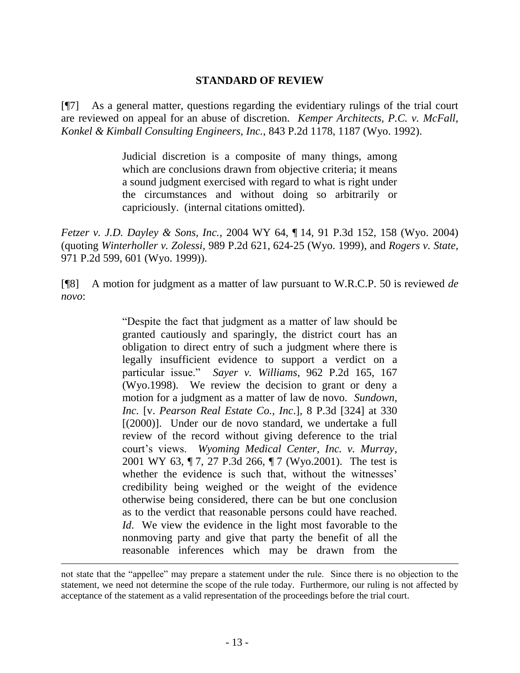### **STANDARD OF REVIEW**

[¶7] As a general matter, questions regarding the evidentiary rulings of the trial court are reviewed on appeal for an abuse of discretion. *Kemper Architects, P.C. v. McFall, Konkel & Kimball Consulting Engineers, Inc.*, 843 P.2d 1178, 1187 (Wyo. 1992).

> Judicial discretion is a composite of many things, among which are conclusions drawn from objective criteria; it means a sound judgment exercised with regard to what is right under the circumstances and without doing so arbitrarily or capriciously. (internal citations omitted).

*Fetzer v. J.D. Dayley & Sons, Inc.*, 2004 WY 64, ¶ 14, 91 P.3d 152, 158 (Wyo. 2004) (quoting *Winterholler v. Zolessi*, 989 P.2d 621, 624-25 (Wyo. 1999), and *Rogers v. State*, 971 P.2d 599, 601 (Wyo. 1999)).

[¶8] A motion for judgment as a matter of law pursuant to W.R.C.P. 50 is reviewed *de novo*:

> "Despite the fact that judgment as a matter of law should be granted cautiously and sparingly, the district court has an obligation to direct entry of such a judgment where there is legally insufficient evidence to support a verdict on a particular issue." *Sayer v. Williams*, 962 P.2d 165, 167 (Wyo.1998). We review the decision to grant or deny a motion for a judgment as a matter of law de novo. *Sundown, Inc.* [v. *Pearson Real Estate Co., Inc*.], 8 P.3d [324] at 330 [(2000)]. Under our de novo standard, we undertake a full review of the record without giving deference to the trial court"s views. *Wyoming Medical Center, Inc. v. Murray*, 2001 WY 63, ¶ 7, 27 P.3d 266, ¶ 7 (Wyo.2001). The test is whether the evidence is such that, without the witnesses' credibility being weighed or the weight of the evidence otherwise being considered, there can be but one conclusion as to the verdict that reasonable persons could have reached. *Id.* We view the evidence in the light most favorable to the nonmoving party and give that party the benefit of all the reasonable inferences which may be drawn from the

not state that the "appellee" may prepare a statement under the rule. Since there is no objection to the statement, we need not determine the scope of the rule today. Furthermore, our ruling is not affected by acceptance of the statement as a valid representation of the proceedings before the trial court.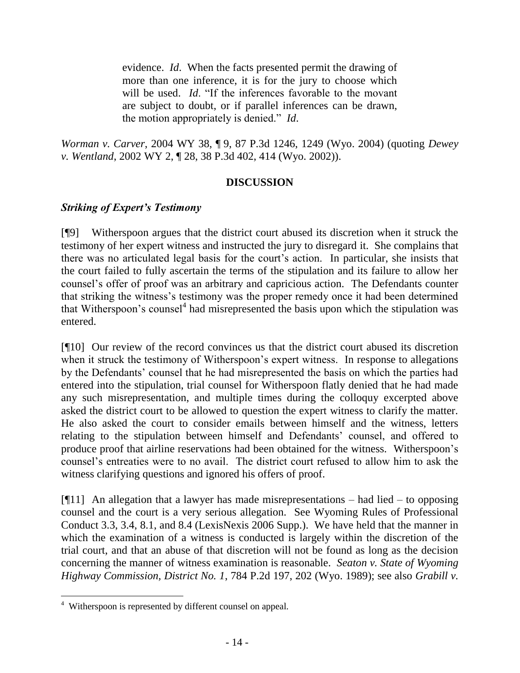evidence. *Id*. When the facts presented permit the drawing of more than one inference, it is for the jury to choose which will be used. *Id*. "If the inferences favorable to the movant are subject to doubt, or if parallel inferences can be drawn, the motion appropriately is denied." *Id*.

*Worman v. Carver*, 2004 WY 38, ¶ 9, 87 P.3d 1246, 1249 (Wyo. 2004) (quoting *Dewey v. Wentland*, 2002 WY 2, ¶ 28, 38 P.3d 402, 414 (Wyo. 2002)).

# **DISCUSSION**

# *Striking of Expert's Testimony*

[¶9] Witherspoon argues that the district court abused its discretion when it struck the testimony of her expert witness and instructed the jury to disregard it. She complains that there was no articulated legal basis for the court's action. In particular, she insists that the court failed to fully ascertain the terms of the stipulation and its failure to allow her counsel"s offer of proof was an arbitrary and capricious action. The Defendants counter that striking the witness"s testimony was the proper remedy once it had been determined that Witherspoon's counsel<sup>4</sup> had misrepresented the basis upon which the stipulation was entered.

[¶10] Our review of the record convinces us that the district court abused its discretion when it struck the testimony of Witherspoon's expert witness. In response to allegations by the Defendants" counsel that he had misrepresented the basis on which the parties had entered into the stipulation, trial counsel for Witherspoon flatly denied that he had made any such misrepresentation, and multiple times during the colloquy excerpted above asked the district court to be allowed to question the expert witness to clarify the matter. He also asked the court to consider emails between himself and the witness, letters relating to the stipulation between himself and Defendants" counsel, and offered to produce proof that airline reservations had been obtained for the witness. Witherspoon"s counsel"s entreaties were to no avail. The district court refused to allow him to ask the witness clarifying questions and ignored his offers of proof.

[ $[$ [11] An allegation that a lawyer has made misrepresentations – had lied – to opposing counsel and the court is a very serious allegation. See Wyoming Rules of Professional Conduct 3.3, 3.4, 8.1, and 8.4 (LexisNexis 2006 Supp.). We have held that the manner in which the examination of a witness is conducted is largely within the discretion of the trial court, and that an abuse of that discretion will not be found as long as the decision concerning the manner of witness examination is reasonable. *Seaton v. State of Wyoming Highway Commission, District No. 1*, 784 P.2d 197, 202 (Wyo. 1989); see also *Grabill v.* 

<sup>&</sup>lt;sup>4</sup> Witherspoon is represented by different counsel on appeal.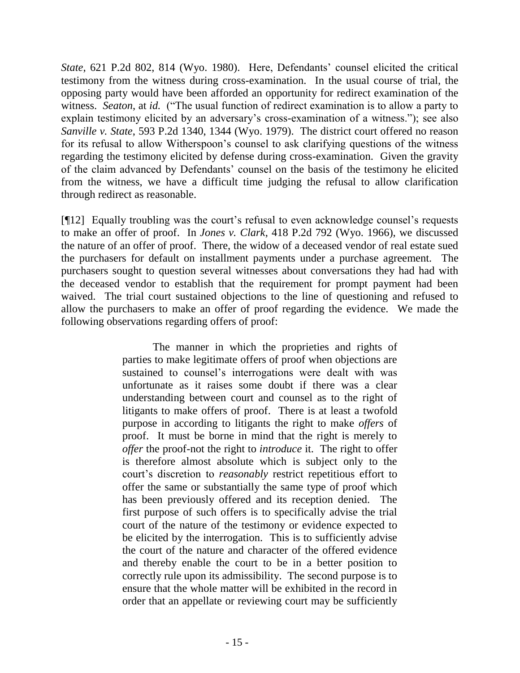*State*, 621 P.2d 802, 814 (Wyo. 1980). Here, Defendants' counsel elicited the critical testimony from the witness during cross-examination. In the usual course of trial, the opposing party would have been afforded an opportunity for redirect examination of the witness. *Seaton*, at *id.* ("The usual function of redirect examination is to allow a party to explain testimony elicited by an adversary's cross-examination of a witness."); see also *Sanville v. State*, 593 P.2d 1340, 1344 (Wyo. 1979). The district court offered no reason for its refusal to allow Witherspoon"s counsel to ask clarifying questions of the witness regarding the testimony elicited by defense during cross-examination. Given the gravity of the claim advanced by Defendants" counsel on the basis of the testimony he elicited from the witness, we have a difficult time judging the refusal to allow clarification through redirect as reasonable.

[¶12] Equally troubling was the court's refusal to even acknowledge counsel's requests to make an offer of proof. In *Jones v. Clark*, 418 P.2d 792 (Wyo. 1966), we discussed the nature of an offer of proof. There, the widow of a deceased vendor of real estate sued the purchasers for default on installment payments under a purchase agreement. The purchasers sought to question several witnesses about conversations they had had with the deceased vendor to establish that the requirement for prompt payment had been waived. The trial court sustained objections to the line of questioning and refused to allow the purchasers to make an offer of proof regarding the evidence. We made the following observations regarding offers of proof:

> The manner in which the proprieties and rights of parties to make legitimate offers of proof when objections are sustained to counsel's interrogations were dealt with was unfortunate as it raises some doubt if there was a clear understanding between court and counsel as to the right of litigants to make offers of proof. There is at least a twofold purpose in according to litigants the right to make *offers* of proof. It must be borne in mind that the right is merely to *offer* the proof-not the right to *introduce* it. The right to offer is therefore almost absolute which is subject only to the court"s discretion to *reasonably* restrict repetitious effort to offer the same or substantially the same type of proof which has been previously offered and its reception denied. The first purpose of such offers is to specifically advise the trial court of the nature of the testimony or evidence expected to be elicited by the interrogation. This is to sufficiently advise the court of the nature and character of the offered evidence and thereby enable the court to be in a better position to correctly rule upon its admissibility. The second purpose is to ensure that the whole matter will be exhibited in the record in order that an appellate or reviewing court may be sufficiently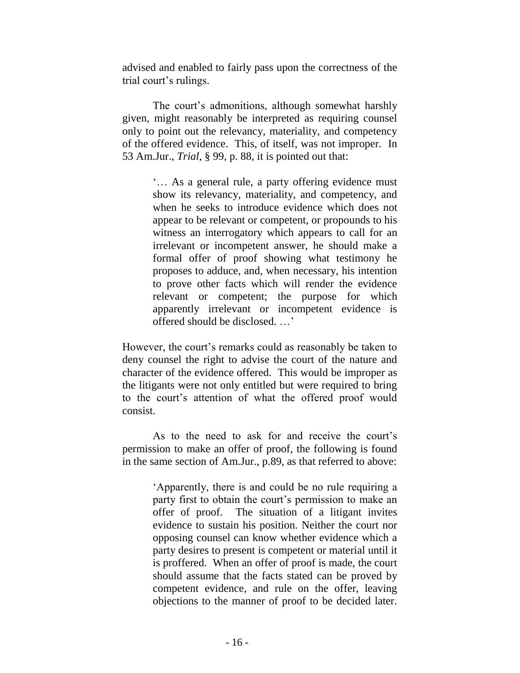advised and enabled to fairly pass upon the correctness of the trial court"s rulings.

The court's admonitions, although somewhat harshly given, might reasonably be interpreted as requiring counsel only to point out the relevancy, materiality, and competency of the offered evidence. This, of itself, was not improper. In 53 Am.Jur., *Trial*, § 99, p. 88, it is pointed out that:

> "... As a general rule, a party offering evidence must show its relevancy, materiality, and competency, and when he seeks to introduce evidence which does not appear to be relevant or competent, or propounds to his witness an interrogatory which appears to call for an irrelevant or incompetent answer, he should make a formal offer of proof showing what testimony he proposes to adduce, and, when necessary, his intention to prove other facts which will render the evidence relevant or competent; the purpose for which apparently irrelevant or incompetent evidence is offered should be disclosed. …"

However, the court"s remarks could as reasonably be taken to deny counsel the right to advise the court of the nature and character of the evidence offered. This would be improper as the litigants were not only entitled but were required to bring to the court"s attention of what the offered proof would consist.

As to the need to ask for and receive the court's permission to make an offer of proof, the following is found in the same section of Am.Jur., p.89, as that referred to above:

> "Apparently, there is and could be no rule requiring a party first to obtain the court"s permission to make an offer of proof. The situation of a litigant invites evidence to sustain his position. Neither the court nor opposing counsel can know whether evidence which a party desires to present is competent or material until it is proffered. When an offer of proof is made, the court should assume that the facts stated can be proved by competent evidence, and rule on the offer, leaving objections to the manner of proof to be decided later.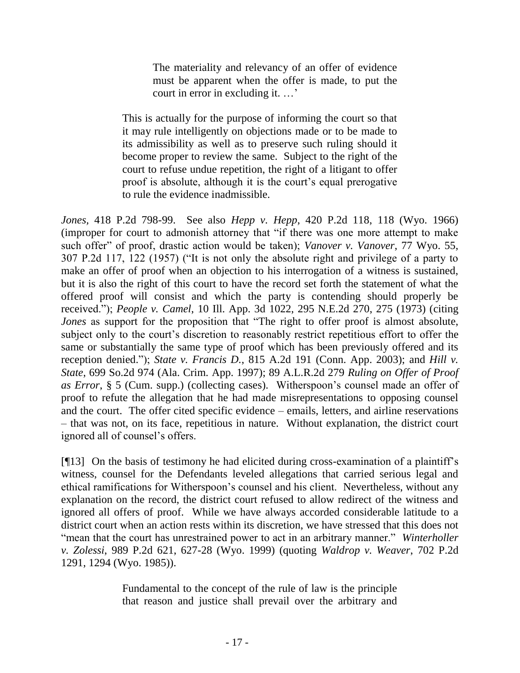The materiality and relevancy of an offer of evidence must be apparent when the offer is made, to put the court in error in excluding it. ...'

This is actually for the purpose of informing the court so that it may rule intelligently on objections made or to be made to its admissibility as well as to preserve such ruling should it become proper to review the same. Subject to the right of the court to refuse undue repetition, the right of a litigant to offer proof is absolute, although it is the court's equal prerogative to rule the evidence inadmissible.

*Jones,* 418 P.2d 798-99. See also *Hepp v. Hepp*, 420 P.2d 118, 118 (Wyo. 1966) (improper for court to admonish attorney that "if there was one more attempt to make such offer" of proof, drastic action would be taken); *Vanover v. Vanover*, 77 Wyo. 55, 307 P.2d 117, 122 (1957) ("It is not only the absolute right and privilege of a party to make an offer of proof when an objection to his interrogation of a witness is sustained, but it is also the right of this court to have the record set forth the statement of what the offered proof will consist and which the party is contending should properly be received."); *People v. Camel*, 10 Ill. App. 3d 1022, 295 N.E.2d 270, 275 (1973) (citing *Jones* as support for the proposition that "The right to offer proof is almost absolute, subject only to the court's discretion to reasonably restrict repetitious effort to offer the same or substantially the same type of proof which has been previously offered and its reception denied."); *State v. Francis D.*, 815 A.2d 191 (Conn. App. 2003); and *Hill v. State*, 699 So.2d 974 (Ala. Crim. App. 1997); 89 A.L.R.2d 279 *Ruling on Offer of Proof as Error*, § 5 (Cum. supp.) (collecting cases). Witherspoon"s counsel made an offer of proof to refute the allegation that he had made misrepresentations to opposing counsel and the court. The offer cited specific evidence – emails, letters, and airline reservations – that was not, on its face, repetitious in nature. Without explanation, the district court ignored all of counsel's offers.

[¶13] On the basis of testimony he had elicited during cross-examination of a plaintiff"s witness, counsel for the Defendants leveled allegations that carried serious legal and ethical ramifications for Witherspoon"s counsel and his client. Nevertheless, without any explanation on the record, the district court refused to allow redirect of the witness and ignored all offers of proof. While we have always accorded considerable latitude to a district court when an action rests within its discretion, we have stressed that this does not "mean that the court has unrestrained power to act in an arbitrary manner." *Winterholler v. Zolessi*, 989 P.2d 621, 627-28 (Wyo. 1999) (quoting *Waldrop v. Weaver*, 702 P.2d 1291, 1294 (Wyo. 1985)).

> Fundamental to the concept of the rule of law is the principle that reason and justice shall prevail over the arbitrary and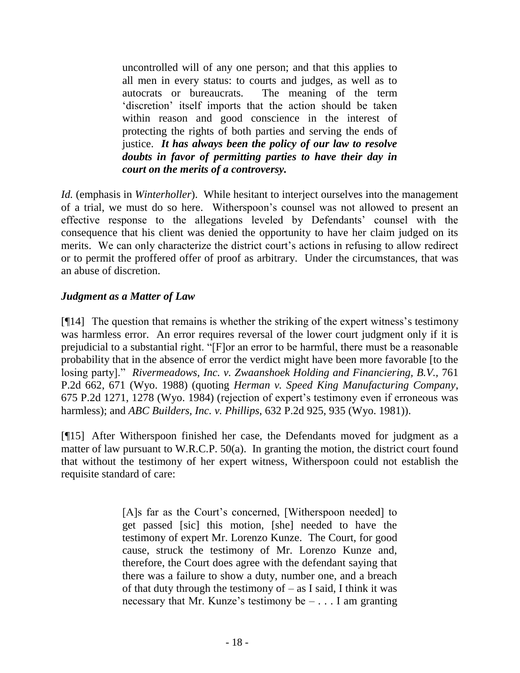uncontrolled will of any one person; and that this applies to all men in every status: to courts and judges, as well as to autocrats or bureaucrats. The meaning of the term "discretion" itself imports that the action should be taken within reason and good conscience in the interest of protecting the rights of both parties and serving the ends of justice. *It has always been the policy of our law to resolve doubts in favor of permitting parties to have their day in court on the merits of a controversy.*

*Id.* (emphasis in *Winterholler*). While hesitant to interject ourselves into the management of a trial, we must do so here. Witherspoon"s counsel was not allowed to present an effective response to the allegations leveled by Defendants" counsel with the consequence that his client was denied the opportunity to have her claim judged on its merits. We can only characterize the district court's actions in refusing to allow redirect or to permit the proffered offer of proof as arbitrary. Under the circumstances, that was an abuse of discretion.

## *Judgment as a Matter of Law*

 $[914]$  The question that remains is whether the striking of the expert witness's testimony was harmless error. An error requires reversal of the lower court judgment only if it is prejudicial to a substantial right. "[F]or an error to be harmful, there must be a reasonable probability that in the absence of error the verdict might have been more favorable [to the losing party]." *Rivermeadows, Inc. v. Zwaanshoek Holding and Financiering, B.V.,* 761 P.2d 662, 671 (Wyo. 1988) (quoting *Herman v. Speed King Manufacturing Company*, 675 P.2d 1271, 1278 (Wyo. 1984) (rejection of expert"s testimony even if erroneous was harmless); and *ABC Builders, Inc. v. Phillips*, 632 P.2d 925, 935 (Wyo. 1981)).

[¶15] After Witherspoon finished her case, the Defendants moved for judgment as a matter of law pursuant to W.R.C.P. 50(a). In granting the motion, the district court found that without the testimony of her expert witness, Witherspoon could not establish the requisite standard of care:

> [A]s far as the Court's concerned, [Witherspoon needed] to get passed [sic] this motion, [she] needed to have the testimony of expert Mr. Lorenzo Kunze. The Court, for good cause, struck the testimony of Mr. Lorenzo Kunze and, therefore, the Court does agree with the defendant saying that there was a failure to show a duty, number one, and a breach of that duty through the testimony of  $-$  as I said, I think it was necessary that Mr. Kunze's testimony be  $- \dots I$  am granting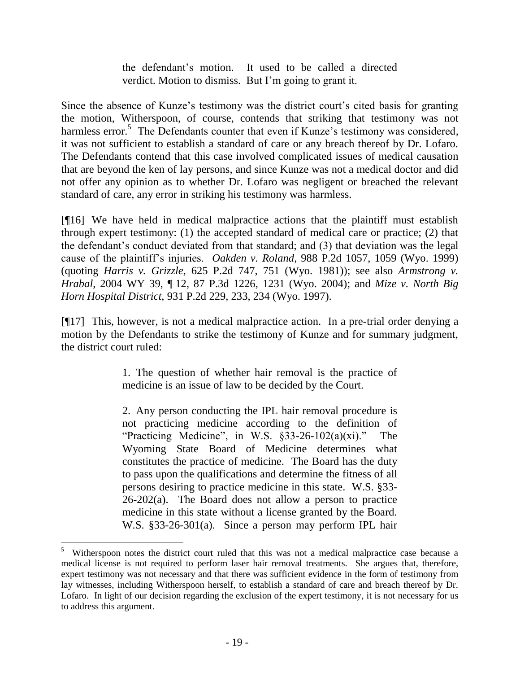the defendant"s motion. It used to be called a directed verdict. Motion to dismiss. But I"m going to grant it.

Since the absence of Kunze's testimony was the district court's cited basis for granting the motion, Witherspoon, of course, contends that striking that testimony was not harmless error.<sup>5</sup> The Defendants counter that even if Kunze's testimony was considered, it was not sufficient to establish a standard of care or any breach thereof by Dr. Lofaro. The Defendants contend that this case involved complicated issues of medical causation that are beyond the ken of lay persons, and since Kunze was not a medical doctor and did not offer any opinion as to whether Dr. Lofaro was negligent or breached the relevant standard of care, any error in striking his testimony was harmless.

[¶16] We have held in medical malpractice actions that the plaintiff must establish through expert testimony: (1) the accepted standard of medical care or practice; (2) that the defendant"s conduct deviated from that standard; and (3) that deviation was the legal cause of the plaintiff"s injuries. *Oakden v. Roland*, 988 P.2d 1057, 1059 (Wyo. 1999) (quoting *Harris v. Grizzle*, 625 P.2d 747, 751 (Wyo. 1981)); see also *Armstrong v. Hrabal*, 2004 WY 39, ¶ 12, 87 P.3d 1226, 1231 (Wyo. 2004); and *Mize v. North Big Horn Hospital District*, 931 P.2d 229, 233, 234 (Wyo. 1997).

[¶17] This, however, is not a medical malpractice action. In a pre-trial order denying a motion by the Defendants to strike the testimony of Kunze and for summary judgment, the district court ruled:

> 1. The question of whether hair removal is the practice of medicine is an issue of law to be decided by the Court.

> 2. Any person conducting the IPL hair removal procedure is not practicing medicine according to the definition of "Practicing Medicine", in W.S.  $\S$ 33-26-102(a)(xi)." The Wyoming State Board of Medicine determines what constitutes the practice of medicine. The Board has the duty to pass upon the qualifications and determine the fitness of all persons desiring to practice medicine in this state. W.S. §33-  $26-202(a)$ . The Board does not allow a person to practice medicine in this state without a license granted by the Board. W.S. §33-26-301(a). Since a person may perform IPL hair

 $\overline{a}$ 

<sup>&</sup>lt;sup>5</sup> Witherspoon notes the district court ruled that this was not a medical malpractice case because a medical license is not required to perform laser hair removal treatments. She argues that, therefore, expert testimony was not necessary and that there was sufficient evidence in the form of testimony from lay witnesses, including Witherspoon herself, to establish a standard of care and breach thereof by Dr. Lofaro. In light of our decision regarding the exclusion of the expert testimony, it is not necessary for us to address this argument.